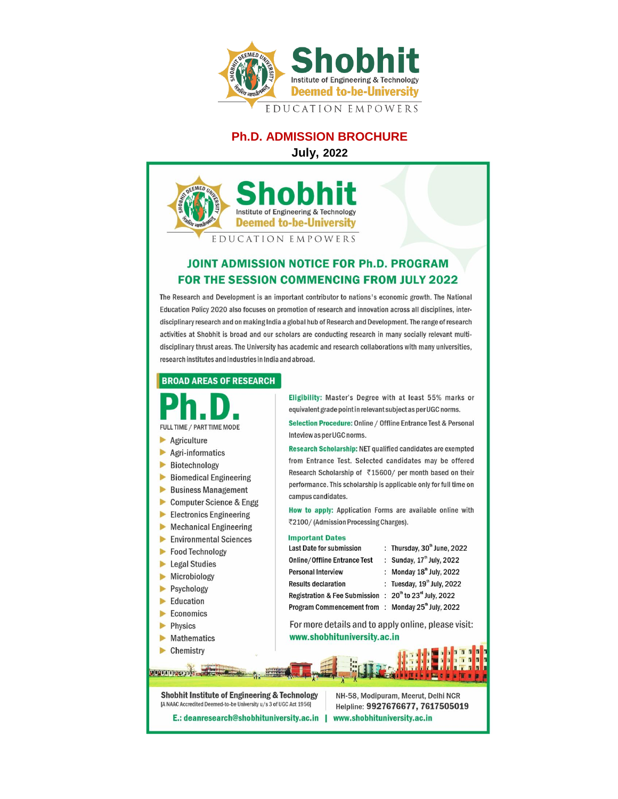

# **Ph.D. ADMISSION BROCHURE**

**July, 2022**



# **JOINT ADMISSION NOTICE FOR Ph.D. PROGRAM FOR THE SESSION COMMENCING FROM JULY 2022**

The Research and Development is an important contributor to nations's economic growth. The National Education Policy 2020 also focuses on promotion of research and innovation across all disciplines, interdisciplinary research and on making India a global hub of Research and Development. The range of research activities at Shobhit is broad and our scholars are conducting research in many socially relevant multidisciplinary thrust areas. The University has academic and research collaborations with many universities, research institutes and industries in India and abroad.

#### **BROAD AREAS OF RESEARCH**

FULL TIME / PART TIME MODE

- Agriculture
- ь Agri-informatics
- ь Biotechnology
- ь **Biomedical Engineering**
- $\blacktriangleright$ **Business Management**
- $\blacktriangleright$ **Computer Science & Engg**
- ь **Electronics Engineering**
- **Mechanical Engineering** ь
- **Environmental Sciences** ь
- ь **Food Technology**
- Legal Studies
- Microbiology ь
- Psychology ь
- $\blacktriangleright$  Education
- Economics ь
- ь Physics
- $\blacktriangleright$  Mathematics
- Chemistry

<u>ulugua apperpoin</u>

Eligibility: Master's Degree with at least 55% marks or equivalent grade point in relevant subject as per UGC norms.

Selection Procedure: Online / Offline Entrance Test & Personal Inteview as per UGC norms.

Research Scholarship: NET qualified candidates are exempted from Entrance Test. Selected candidates may be offered Research Scholarship of ₹15600/ per month based on their performance. This scholarship is applicable only for full time on campus candidates.

How to apply: Application Forms are available online with ₹2100/(Admission Processing Charges).

#### **Important Dates**

Last Date for submission **Online/Offline Entrance Test Personal Interview Results declaration** Registration & Fee Submission : 20<sup>th</sup> to 23<sup>rd</sup> July, 2022 Program Commencement from : Monday 25<sup>th</sup> July, 2022

: Thursday,  $30<sup>th</sup>$  June,  $2022$ : Sunday, 17th July, 2022 : Monday 18<sup>th</sup> July, 2022 : Tuesday, 19<sup>th</sup> July, 2022

For more details and to apply online, please visit: www.shobhituniversity.ac.in

**Shobhit Institute of Engineering & Technology** [A NAAC Accredited Deemed-to-be University u/s 3 of UGC Act 1956]

NH-58, Modipuram, Meerut, Delhi NCR Helpline: 9927676677, 7617505019 E.: deanresearch@shobhituniversity.ac.in | www.shobhituniversity.ac.in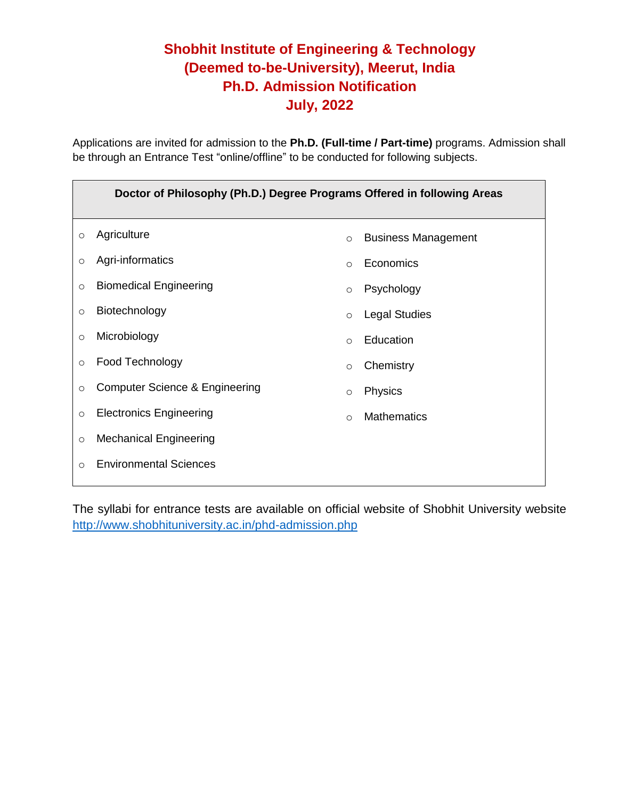# **Shobhit Institute of Engineering & Technology (Deemed to-be-University), Meerut, India Ph.D. Admission Notification July, 2022**

Applications are invited for admission to the **Ph.D. (Full-time / Part-time)** programs. Admission shall be through an Entrance Test "online/offline" to be conducted for following subjects.

| Doctor of Philosophy (Ph.D.) Degree Programs Offered in following Areas |                                |          |                            |  |  |  |
|-------------------------------------------------------------------------|--------------------------------|----------|----------------------------|--|--|--|
| $\circ$                                                                 | Agriculture                    | $\circ$  | <b>Business Management</b> |  |  |  |
| $\circ$                                                                 | Agri-informatics               | $\circ$  | Economics                  |  |  |  |
| $\circ$                                                                 | <b>Biomedical Engineering</b>  | $\circ$  | Psychology                 |  |  |  |
| $\circ$                                                                 | Biotechnology                  | $\circ$  | <b>Legal Studies</b>       |  |  |  |
| $\circ$                                                                 | Microbiology                   | $\Omega$ | Education                  |  |  |  |
| $\circ$                                                                 | Food Technology                | $\circ$  | Chemistry                  |  |  |  |
| $\circ$                                                                 | Computer Science & Engineering | $\circ$  | Physics                    |  |  |  |
| $\circ$                                                                 | <b>Electronics Engineering</b> | $\circ$  | <b>Mathematics</b>         |  |  |  |
| $\circ$                                                                 | <b>Mechanical Engineering</b>  |          |                            |  |  |  |
| $\circ$                                                                 | <b>Environmental Sciences</b>  |          |                            |  |  |  |

The syllabi for entrance tests are available on official website of Shobhit University website <http://www.shobhituniversity.ac.in/phd-admission.php>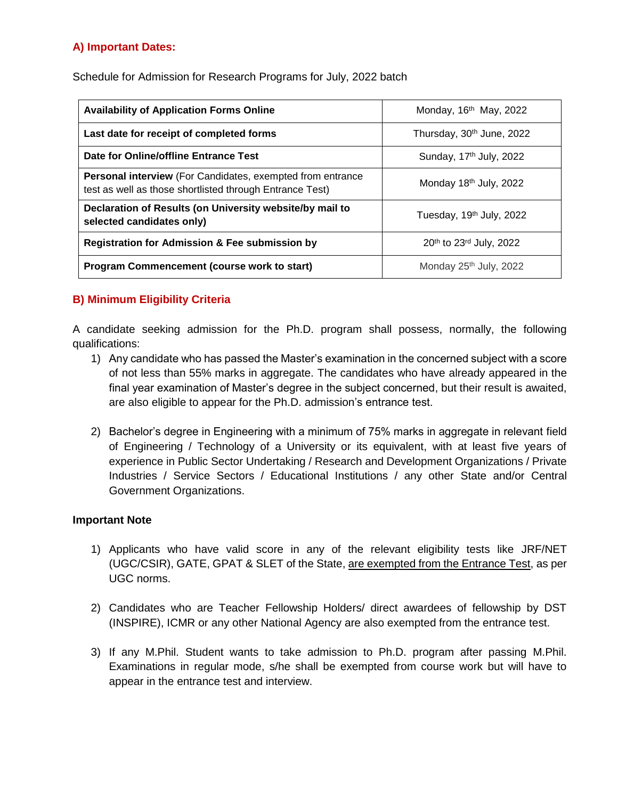# **A) Important Dates:**

Schedule for Admission for Research Programs for July, 2022 batch

| <b>Availability of Application Forms Online</b>                                                                               | Monday, $16th$ May, 2022              |  |
|-------------------------------------------------------------------------------------------------------------------------------|---------------------------------------|--|
| Last date for receipt of completed forms                                                                                      | Thursday, 30 <sup>th</sup> June, 2022 |  |
| Date for Online/offline Entrance Test                                                                                         | Sunday, 17 <sup>th</sup> July, 2022   |  |
| <b>Personal interview</b> (For Candidates, exempted from entrance<br>test as well as those shortlisted through Entrance Test) | Monday 18th July, 2022                |  |
| Declaration of Results (on University website/by mail to<br>selected candidates only)                                         | Tuesday, 19 <sup>th</sup> July, 2022  |  |
| <b>Registration for Admission &amp; Fee submission by</b>                                                                     | 20th to 23rd July, 2022               |  |
| Program Commencement (course work to start)                                                                                   | Monday 25th July, 2022                |  |

# **B) Minimum Eligibility Criteria**

A candidate seeking admission for the Ph.D. program shall possess, normally, the following qualifications:

- 1) Any candidate who has passed the Master's examination in the concerned subject with a score of not less than 55% marks in aggregate. The candidates who have already appeared in the final year examination of Master's degree in the subject concerned, but their result is awaited, are also eligible to appear for the Ph.D. admission's entrance test.
- 2) Bachelor's degree in Engineering with a minimum of 75% marks in aggregate in relevant field of Engineering / Technology of a University or its equivalent, with at least five years of experience in Public Sector Undertaking / Research and Development Organizations / Private Industries / Service Sectors / Educational Institutions / any other State and/or Central Government Organizations.

#### **Important Note**

- 1) Applicants who have valid score in any of the relevant eligibility tests like JRF/NET (UGC/CSIR), GATE, GPAT & SLET of the State, are exempted from the Entrance Test, as per UGC norms.
- 2) Candidates who are Teacher Fellowship Holders/ direct awardees of fellowship by DST (INSPIRE), ICMR or any other National Agency are also exempted from the entrance test.
- 3) If any M.Phil. Student wants to take admission to Ph.D. program after passing M.Phil. Examinations in regular mode, s/he shall be exempted from course work but will have to appear in the entrance test and interview.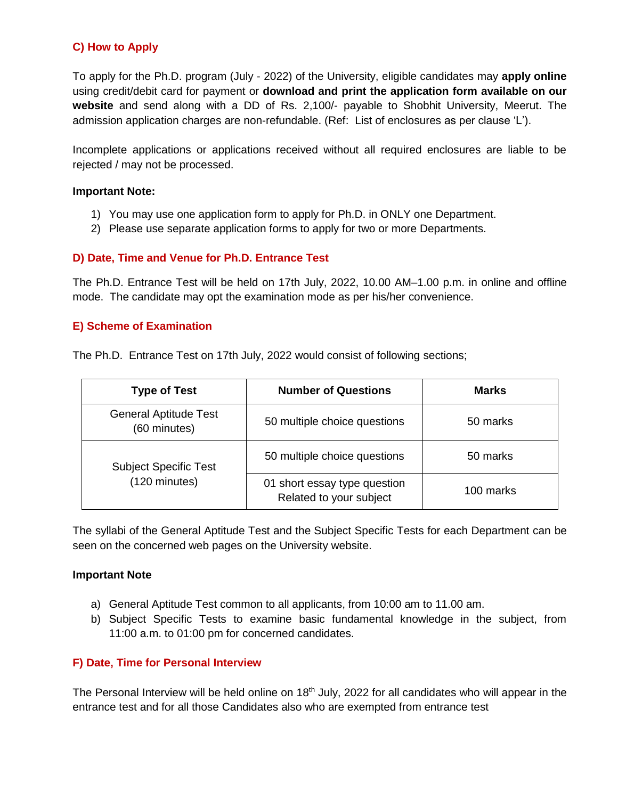# **C) How to Apply**

To apply for the Ph.D. program (July - 2022) of the University, eligible candidates may **apply online** using credit/debit card for payment or **download and print the application form available on our website** and send along with a DD of Rs. 2,100/- payable to Shobhit University, Meerut. The admission application charges are non-refundable. (Ref: List of enclosures as per clause 'L').

Incomplete applications or applications received without all required enclosures are liable to be rejected / may not be processed.

#### **Important Note:**

- 1) You may use one application form to apply for Ph.D. in ONLY one Department.
- 2) Please use separate application forms to apply for two or more Departments.

#### **D) Date, Time and Venue for Ph.D. Entrance Test**

The Ph.D. Entrance Test will be held on 17th July, 2022, 10.00 AM–1.00 p.m. in online and offline mode. The candidate may opt the examination mode as per his/her convenience.

#### **E) Scheme of Examination**

The Ph.D. Entrance Test on 17th July, 2022 would consist of following sections;

| <b>Type of Test</b>                          | <b>Number of Questions</b>                              | <b>Marks</b> |
|----------------------------------------------|---------------------------------------------------------|--------------|
| <b>General Aptitude Test</b><br>(60 minutes) | 50 multiple choice questions                            | 50 marks     |
| <b>Subject Specific Test</b>                 | 50 multiple choice questions                            | 50 marks     |
| (120 minutes)                                | 01 short essay type question<br>Related to your subject | 100 marks    |

The syllabi of the General Aptitude Test and the Subject Specific Tests for each Department can be seen on the concerned web pages on the University website.

#### **Important Note**

- a) General Aptitude Test common to all applicants, from 10:00 am to 11.00 am.
- b) Subject Specific Tests to examine basic fundamental knowledge in the subject, from 11:00 a.m. to 01:00 pm for concerned candidates.

### **F) Date, Time for Personal Interview**

The Personal Interview will be held online on 18<sup>th</sup> July, 2022 for all candidates who will appear in the entrance test and for all those Candidates also who are exempted from entrance test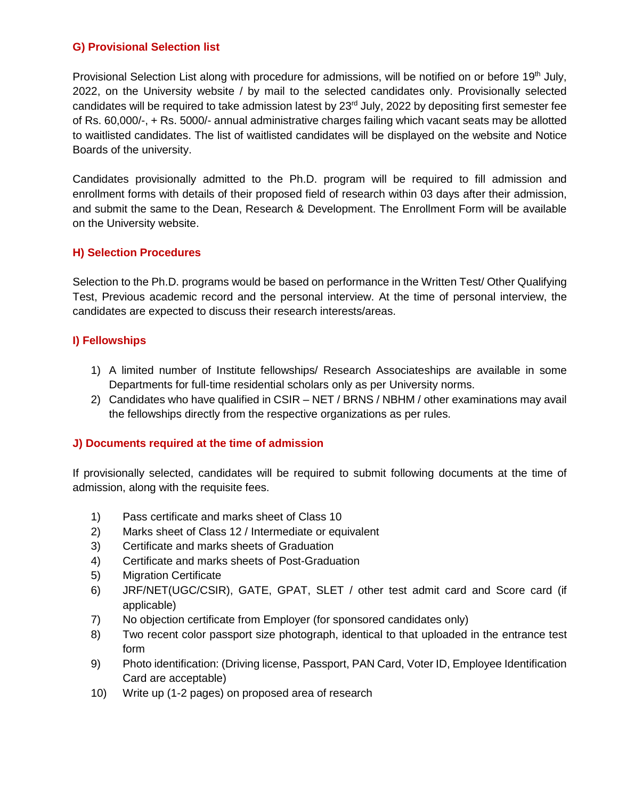# **G) Provisional Selection list**

Provisional Selection List along with procedure for admissions, will be notified on or before 19<sup>th</sup> July, 2022, on the University website / by mail to the selected candidates only. Provisionally selected candidates will be required to take admission latest by 23<sup>rd</sup> July, 2022 by depositing first semester fee of Rs. 60,000/-, + Rs. 5000/- annual administrative charges failing which vacant seats may be allotted to waitlisted candidates. The list of waitlisted candidates will be displayed on the website and Notice Boards of the university.

Candidates provisionally admitted to the Ph.D. program will be required to fill admission and enrollment forms with details of their proposed field of research within 03 days after their admission, and submit the same to the Dean, Research & Development. The Enrollment Form will be available on the University website.

## **H) Selection Procedures**

Selection to the Ph.D. programs would be based on performance in the Written Test/ Other Qualifying Test, Previous academic record and the personal interview. At the time of personal interview, the candidates are expected to discuss their research interests/areas.

### **I) Fellowships**

- 1) A limited number of Institute fellowships/ Research Associateships are available in some Departments for full-time residential scholars only as per University norms.
- 2) Candidates who have qualified in CSIR NET / BRNS / NBHM / other examinations may avail the fellowships directly from the respective organizations as per rules.

### **J) Documents required at the time of admission**

If provisionally selected, candidates will be required to submit following documents at the time of admission, along with the requisite fees.

- 1) Pass certificate and marks sheet of Class 10
- 2) Marks sheet of Class 12 / Intermediate or equivalent
- 3) Certificate and marks sheets of Graduation
- 4) Certificate and marks sheets of Post-Graduation
- 5) Migration Certificate
- 6) JRF/NET(UGC/CSIR), GATE, GPAT, SLET / other test admit card and Score card (if applicable)
- 7) No objection certificate from Employer (for sponsored candidates only)
- 8) Two recent color passport size photograph, identical to that uploaded in the entrance test form
- 9) Photo identification: (Driving license, Passport, PAN Card, Voter ID, Employee Identification Card are acceptable)
- 10) Write up (1-2 pages) on proposed area of research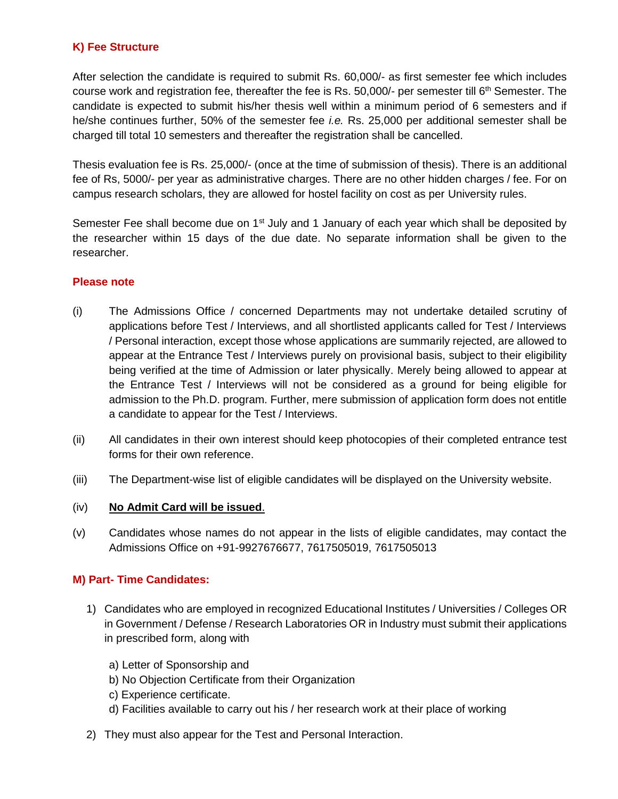# **K) Fee Structure**

After selection the candidate is required to submit Rs. 60,000/- as first semester fee which includes course work and registration fee, thereafter the fee is Rs.  $50,000/$ - per semester till  $6<sup>th</sup>$  Semester. The candidate is expected to submit his/her thesis well within a minimum period of 6 semesters and if he/she continues further, 50% of the semester fee *i.e.* Rs. 25,000 per additional semester shall be charged till total 10 semesters and thereafter the registration shall be cancelled.

Thesis evaluation fee is Rs. 25,000/- (once at the time of submission of thesis). There is an additional fee of Rs, 5000/- per year as administrative charges. There are no other hidden charges / fee. For on campus research scholars, they are allowed for hostel facility on cost as per University rules.

Semester Fee shall become due on  $1<sup>st</sup>$  July and 1 January of each year which shall be deposited by the researcher within 15 days of the due date. No separate information shall be given to the researcher.

#### **Please note**

- (i) The Admissions Office / concerned Departments may not undertake detailed scrutiny of applications before Test / Interviews, and all shortlisted applicants called for Test / Interviews / Personal interaction, except those whose applications are summarily rejected, are allowed to appear at the Entrance Test / Interviews purely on provisional basis, subject to their eligibility being verified at the time of Admission or later physically. Merely being allowed to appear at the Entrance Test / Interviews will not be considered as a ground for being eligible for admission to the Ph.D. program. Further, mere submission of application form does not entitle a candidate to appear for the Test / Interviews.
- (ii) All candidates in their own interest should keep photocopies of their completed entrance test forms for their own reference.
- (iii) The Department-wise list of eligible candidates will be displayed on the University website.

### (iv) **No Admit Card will be issued**.

(v) Candidates whose names do not appear in the lists of eligible candidates, may contact the Admissions Office on +91-9927676677, 7617505019, 7617505013

### **M) Part- Time Candidates:**

- 1) Candidates who are employed in recognized Educational Institutes / Universities / Colleges OR in Government / Defense / Research Laboratories OR in Industry must submit their applications in prescribed form, along with
	- a) Letter of Sponsorship and
	- b) No Objection Certificate from their Organization
	- c) Experience certificate.
	- d) Facilities available to carry out his / her research work at their place of working
- 2) They must also appear for the Test and Personal Interaction.